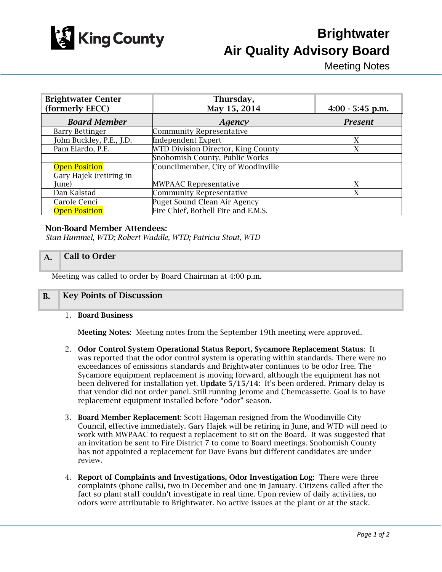

# **Brightwater Air Quality Advisory Board**

Meeting Notes

| <b>Brightwater Center</b> | Thursday,                           |                    |
|---------------------------|-------------------------------------|--------------------|
| (formerly EECC)           | May 15, 2014                        | $4:00 - 5:45$ p.m. |
| <b>Board Member</b>       | Agency                              | <b>Present</b>     |
| <b>Barry Bettinger</b>    | <b>Community Representative</b>     |                    |
| John Buckley, P.E., J.D.  | <b>Independent Expert</b>           | Х                  |
| Pam Elardo, P.E.          | WTD Division Director, King County  | X                  |
|                           | Snohomish County, Public Works      |                    |
| <b>Open Position</b>      | Councilmember, City of Woodinville  |                    |
| Gary Hajek (retiring in   |                                     |                    |
| June)                     | <b>MWPAAC Representative</b>        | X                  |
| Dan Kalstad               | <b>Community Representative</b>     | X                  |
| Carole Cenci              | Puget Sound Clean Air Agency        |                    |
| <b>Open Position</b>      | Fire Chief, Bothell Fire and E.M.S. |                    |

#### Non-Board Member Attendees:

*Stan Hummel, WTD; Robert Waddle, WTD; Patricia Stout, WTD*

### A. **Call to Order**

Meeting was called to order by Board Chairman at 4:00 p.m.

### B. Key Points of Discussion

1. Board Business

Meeting Notes: Meeting notes from the September 19th meeting were approved.

- 2. Odor Control System Operational Status Report, Sycamore Replacement Status: It was reported that the odor control system is operating within standards. There were no exceedances of emissions standards and Brightwater continues to be odor free. The Sycamore equipment replacement is moving forward, although the equipment has not been delivered for installation yet. Update  $5/15/14$ : It's been ordered. Primary delay is that vendor did not order panel. Still running Jerome and Chemcassette. Goal is to have replacement equipment installed before "odor" season.
- 3. Board Member Replacement: Scott Hageman resigned from the Woodinville City Council, effective immediately. Gary Hajek will be retiring in June, and WTD will need to work with MWPAAC to request a replacement to sit on the Board. It was suggested that an invitation be sent to Fire District 7 to come to Board meetings. Snohomish County has not appointed a replacement for Dave Evans but different candidates are under review.
- 4. Report of Complaints and Investigations, Odor Investigation Log: There were three complaints (phone calls), two in December and one in January. Citizens called after the fact so plant staff couldn't investigate in real time. Upon review of daily activities, no odors were attributable to Brightwater. No active issues at the plant or at the stack.